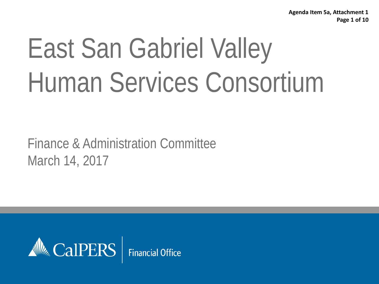# East San Gabriel Valley Human Services Consortium

Finance & Administration Committee March 14, 2017



**Financial Office**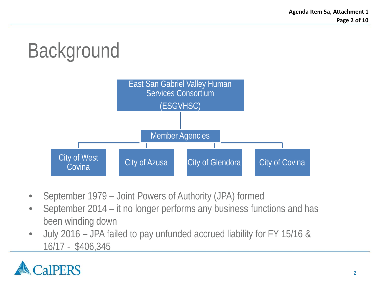# Background



- September 1979 Joint Powers of Authority (JPA) formed
- September 2014 it no longer performs any business functions and has been winding down
- July 2016 JPA failed to pay unfunded accrued liability for FY 15/16 & 16/17 - \$406,345

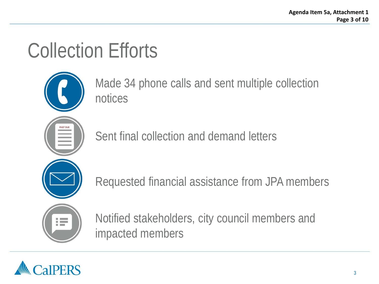## Collection Efforts



Made 34 phone calls and sent multiple collection notices

Sent final collection and demand letters

Requested financial assistance from JPA members



Notified stakeholders, city council members and impacted members

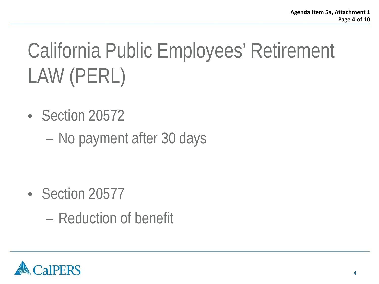# California Public Employees' Retirement LAW (PERL)

- Section 20572
	- No payment after 30 days

- Section 20577
	- Reduction of benefit

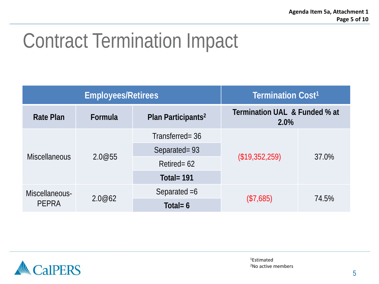## Contract Termination Impact

| <b>Employees/Retirees</b>      |         |                                | Termination Cost <sup>1</sup>         |       |
|--------------------------------|---------|--------------------------------|---------------------------------------|-------|
| <b>Rate Plan</b>               | Formula | Plan Participants <sup>2</sup> | Termination UAL & Funded % at<br>2.0% |       |
| <b>Miscellaneous</b>           | 2.0@55  | Transferred= 36                | (\$19,352,259)                        | 37.0% |
|                                |         | Separated=93                   |                                       |       |
|                                |         | Retired = $62$                 |                                       |       |
|                                |         | Total = $191$                  |                                       |       |
| Miscellaneous-<br><b>PEPRA</b> | 2.0@62  | Separated $=6$                 | (\$7,685)                             | 74.5% |
|                                |         | Total= $6$                     |                                       |       |



1Estimated 2No active members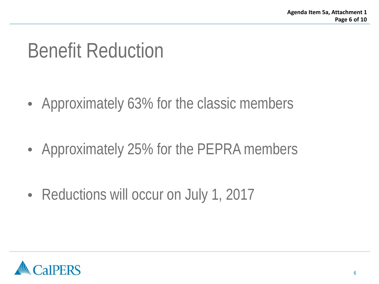#### Benefit Reduction

- Approximately 63% for the classic members
- Approximately 25% for the PEPRA members
- Reductions will occur on July 1, 2017

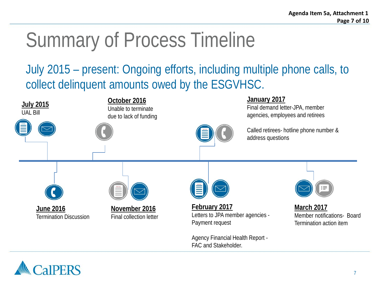## Summary of Process Timeline

July 2015 – present: Ongoing efforts, including multiple phone calls, to collect delinquent amounts owed by the ESGVHSC.



Agency Financial Health Report - FAC and Stakeholder.

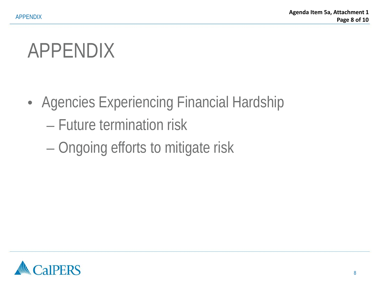### APPENDIX

- Agencies Experiencing Financial Hardship
	- Future termination risk
	- Ongoing efforts to mitigate risk

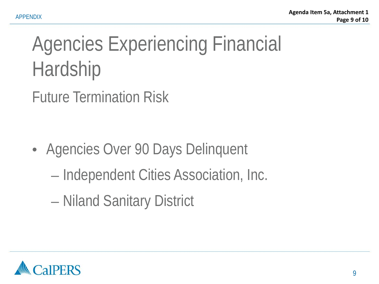# Agencies Experiencing Financial Hardship

Future Termination Risk

- Agencies Over 90 Days Delinquent
	- Independent Cities Association, Inc.
	- Niland Sanitary District